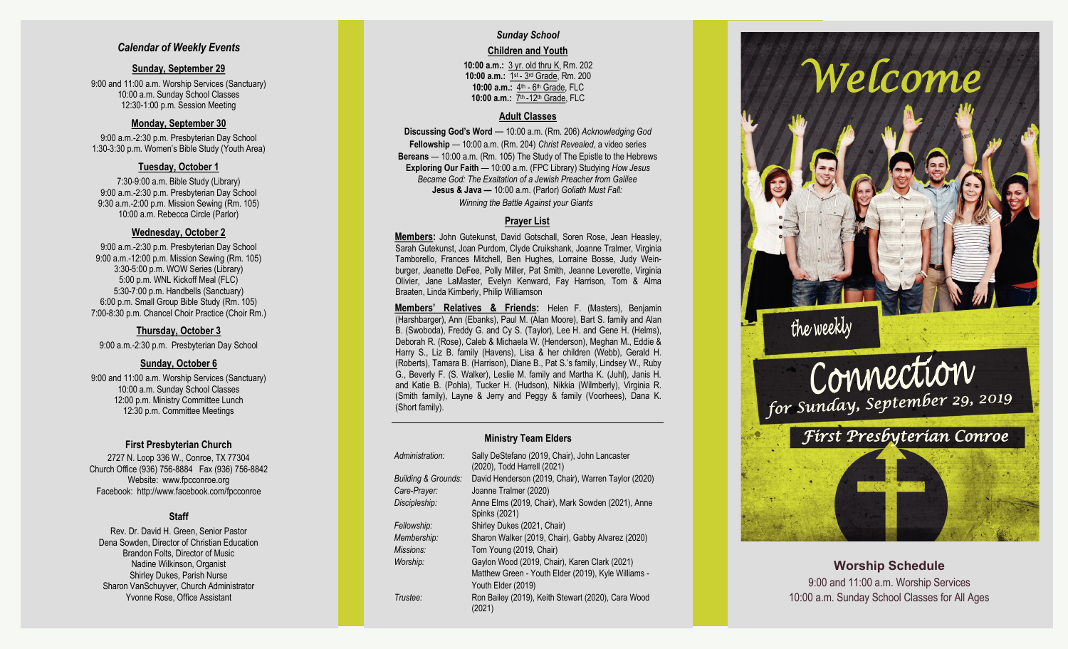### *Calendar of Weekly Events*

#### **Sunday, September 29**

9:00 and 11:00 a.m. Worship Services (Sanctuary) 10:00 a.m. Sunday School Classes 12:30 -1:00 p.m. Session Meeting

#### **Monday, September 30**

9:00 a.m. -2:30 p.m. Presbyterian Day School 1:30 -3:30 p.m. Women's Bible Study (Youth Area)

#### **Tuesday, October 1**

7:30 -9:00 a.m. Bible Study (Library) 9:00 a.m. -2:30 p.m. Presbyterian Day School 9:30 a.m. -2:00 p.m. Mission Sewing (Rm. 105) 10:00 a.m. Rebecca Circle (Parlor)

#### **Wednesday, October 2**

9:00 a.m. -2:30 p.m. Presbyterian Day School 9:00 a.m. -12:00 p.m. Mission Sewing (Rm. 105) 3:30 -5:00 p.m. WOW Series (Library) 5:00 p.m. WNL Kickoff Meal (FLC) 5:30 -7:00 p.m. Handbells (Sanctuary) 6:00 p.m. Small Group Bible Study (Rm. 105) 7:00 -8:30 p.m. Chancel Choir Practice (Choir Rm.)

#### **Thursday, October 3**

9:00 a.m. -2:30 p.m. Presbyterian Day School

## **Sunday, October 6**

9:00 and 11:00 a.m. Worship Services (Sanctuary) 10:00 a.m. Sunday School Classes 12:00 p.m. Ministry Committee Lunch 12:30 p.m. Committee Meetings

#### **First Presbyterian Church**

2727 N. Loop 336 W., Conroe, TX 77304 Church Office (936) 756 -8884 Fax (936) 756 -8842 Website: [www.fpcconroe.org](http://www.fpcconroe.org/) Facebook: <http://www.facebook.com/fpcconroe>

## **Staff**

Rev. Dr. David H. Green, Senior Pastor Dena Sowden, Director of Christian Education Brandon Folts, Director of Music Nadine Wilkinson, Organist Shirley Dukes, Parish Nurse Sharon VanSchuyver, Church Administrator Yvonne Rose, Office Assistant

# *Sunday School*

#### **Children and Youth**

**10:00 a.m.:** 3 yr. old thru K, Rm. 202 10:00 a.m.: 1<sup>st</sup> - 3<sup>rd</sup> Grade, Rm. 200 10:00 a.m.: 4<sup>th</sup> - 6<sup>th</sup> Grade, FLC 10:00 a.m.: 7<sup>th</sup> -12<sup>th</sup> Grade, FLC

#### **Adult Classes**

**Discussing God's Word**  — 10:00 a.m. (Rm. 206) *Acknowledging God* **Fellowship** — 10:00 a.m. (Rm. 204) *Christ Revealed*, a video series **Bereans** — 10:00 a.m. (Rm. 105) The Study of The Epistle to the Hebrews **Exploring Our Faith**  — 10:00 a.m. (FPC Library) Studying *How Jesus Became God: The Exaltation of a Jewish Preacher from Galilee* **Jesus & Java —** 10:00 a.m. (Parlor) *Goliath Must Fall:* 

*Winning the Battle Against your Giants*

## **Prayer List**

**Members :** John Gutekunst, David Gotschall, Soren Rose, Jean Heasley, Sarah Gutekunst, Joan Purdom, Clyde Cruikshank, Joanne Tralmer, Virginia Tamborello, Frances Mitchell, Ben Hughes, Lorraine Bosse, Judy Weinburger, Jeanette DeFee, Polly Miller, Pat Smith, Jeanne Leverette, Virginia Olivier, Jane LaMaster, Evelyn Kenward, Fay Harrison, Tom & Alma Braaten, Linda Kimberly, Philip Williamson

**Members' Relatives & Friends:** Helen F. (Masters), Benjamin (Harshbarger), Ann (Ebanks), Paul M. (Alan Moore), Bart S. family and Alan B. (Swoboda), Freddy G. and Cy S. (Taylor), Lee H. and Gene H. (Helms), Deborah R. (Rose), Caleb & Michaela W. (Henderson), Meghan M., Eddie & Harry S., Liz B. family (Havens), Lisa & her children (Webb), Gerald H. (Roberts), Tamara B. (Harrison), Diane B., Pat S.'s family, Lindsey W., Ruby G., Beverly F. (S. Walker), Leslie M. family and Martha K. (Juhl), Janis H. and Katie B. (Pohla), Tucker H. (Hudson), Nikkia (Wilmberly), Virginia R. (Smith family), Layne & Jerry and Peggy & family (Voorhees), Dana K. (Short family).

#### **Ministry Team Elders**

| Administration:                | Sally DeStefano (2019, Chair), John Lancaster<br>(2020), Todd Harrell (2021) |
|--------------------------------|------------------------------------------------------------------------------|
| <b>Building &amp; Grounds:</b> | David Henderson (2019, Chair), Warren Taylor (2020)                          |
| Care-Prayer:                   | Joanne Tralmer (2020)                                                        |
| Discipleship:                  | Anne Elms (2019, Chair), Mark Sowden (2021), Anne<br>Spinks (2021)           |
| Fellowship:                    | Shirley Dukes (2021, Chair)                                                  |
| Membership:                    | Sharon Walker (2019, Chair), Gabby Alvarez (2020)                            |
| Missions:                      | Tom Young (2019, Chair)                                                      |
| Worship:                       | Gaylon Wood (2019, Chair), Karen Clark (2021)                                |
|                                | Matthew Green - Youth Elder (2019), Kyle Williams -                          |
|                                | Youth Elder (2019)                                                           |
| Trustee:                       | Ron Bailey (2019), Keith Stewart (2020), Cara Wood<br>(2021)                 |



**Worship Schedule** 9:00 and 11:00 a.m. Worship Services 10:00 a.m. Sunday School Classes for All Ages